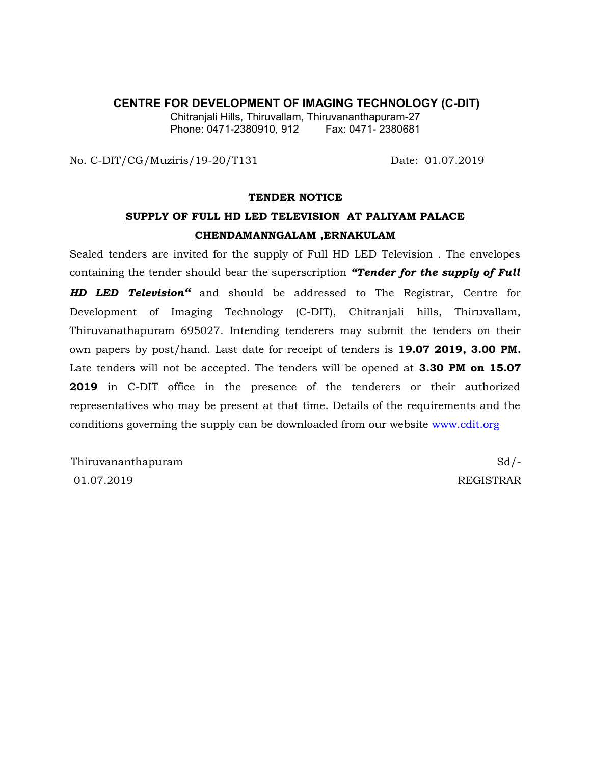#### **CENTRE FOR DEVELOPMENT OF IMAGING TECHNOLOGY (C-DIT)**

Chitranjali Hills, Thiruvallam, Thiruvananthapuram-27 Phone: 0471-2380910, 912

No. C-DIT/CG/Muziris/19-20/T131 Date: 01.07.2019

#### **TENDER NOTICE**

# **SUPPLY OF FULL HD LED TELEVISION AT PALIYAM PALACE CHENDAMANNGALAM ,ERNAKULAM**

Sealed tenders are invited for the supply of Full HD LED Television . The envelopes containing the tender should bear the superscription *"Tender for the supply of Full HD LED Television"* and should be addressed to The Registrar, Centre for Development of Imaging Technology (C-DIT), Chitranjali hills, Thiruvallam, Thiruvanathapuram 695027. Intending tenderers may submit the tenders on their own papers by post/hand. Last date for receipt of tenders is **19.07 2019, 3.00 PM.** Late tenders will not be accepted. The tenders will be opened at **3.30 PM on 15.07 2019** in C-DIT office in the presence of the tenderers or their authorized representatives who may be present at that time. Details of the requirements and the conditions governing the supply can be downloaded from our website [www.cdit.org](http://www.cdit.org/)

Thiruvananthapuram Sd/-01.07.2019 REGISTRAR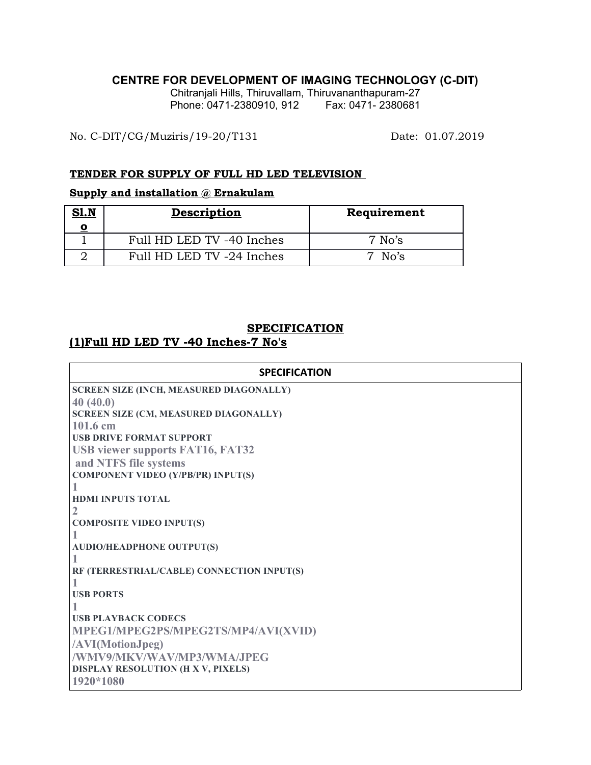### **CENTRE FOR DEVELOPMENT OF IMAGING TECHNOLOGY (C-DIT)**

Chitranjali Hills, Thiruvallam, Thiruvananthapuram-27 Phone: 0471-2380910, 912 Fax: 0471- 2380681

No. C-DIT/CG/Muziris/19-20/T131 Date: 01.07.2019

#### **TENDER FOR SUPPLY OF FULL HD LED TELEVISION**

### **Supply and installation @ Ernakulam**

| S1.N | <b>Description</b>        | Requirement |
|------|---------------------------|-------------|
|      | Full HD LED TV -40 Inches | $7$ No's    |
|      | Full HD LED TV -24 Inches | 7 No's      |

### **SPECIFICATION**

## **(1)Full HD LED TV -40 Inches-7 No's**

| <b>SPECIFICATION</b>                         |  |  |
|----------------------------------------------|--|--|
| SCREEN SIZE (INCH, MEASURED DIAGONALLY)      |  |  |
| 40(40.0)                                     |  |  |
| <b>SCREEN SIZE (CM, MEASURED DIAGONALLY)</b> |  |  |
| 101.6 cm                                     |  |  |
| <b>USB DRIVE FORMAT SUPPORT</b>              |  |  |
| <b>USB viewer supports FAT16, FAT32</b>      |  |  |
| and NTFS file systems                        |  |  |
| <b>COMPONENT VIDEO (Y/PB/PR) INPUT(S)</b>    |  |  |
|                                              |  |  |
| <b>HDMI INPUTS TOTAL</b>                     |  |  |
| $\overline{2}$                               |  |  |
| <b>COMPOSITE VIDEO INPUT(S)</b>              |  |  |
|                                              |  |  |
| <b>AUDIO/HEADPHONE OUTPUT(S)</b>             |  |  |
|                                              |  |  |
| RF (TERRESTRIAL/CABLE) CONNECTION INPUT(S)   |  |  |
| <b>USB PORTS</b>                             |  |  |
|                                              |  |  |
| <b>USB PLAYBACK CODECS</b>                   |  |  |
| MPEG1/MPEG2PS/MPEG2TS/MP4/AVI(XVID)          |  |  |
| /AVI(MotionJpeg)                             |  |  |
| /WMV9/MKV/WAV/MP3/WMA/JPEG                   |  |  |
| DISPLAY RESOLUTION (H X V, PIXELS)           |  |  |
| 1920*1080                                    |  |  |
|                                              |  |  |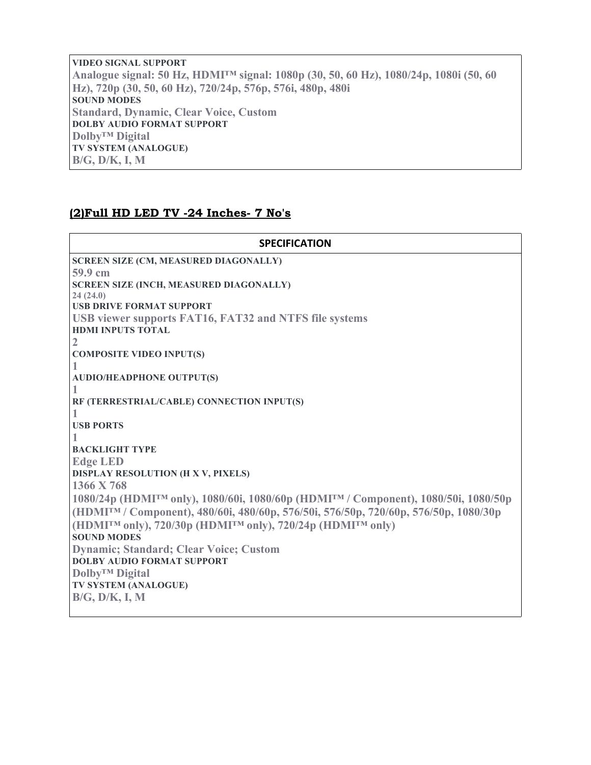**VIDEO SIGNAL SUPPORT Analogue signal: 50 Hz, HDMI™ signal: 1080p (30, 50, 60 Hz), 1080/24p, 1080i (50, 60 Hz), 720p (30, 50, 60 Hz), 720/24p, 576p, 576i, 480p, 480i SOUND MODES Standard, Dynamic, Clear Voice, Custom DOLBY AUDIO FORMAT SUPPORT Dolby™ Digital TV SYSTEM (ANALOGUE) B/G, D/K, I, M**

### **(2)Full HD LED TV -24 Inches- 7 No's**

| <b>SPECIFICATION</b>                                                                                        |  |  |
|-------------------------------------------------------------------------------------------------------------|--|--|
| <b>SCREEN SIZE (CM, MEASURED DIAGONALLY)</b>                                                                |  |  |
| 59.9 cm                                                                                                     |  |  |
| <b>SCREEN SIZE (INCH, MEASURED DIAGONALLY)</b>                                                              |  |  |
| 24(24.0)                                                                                                    |  |  |
| <b>USB DRIVE FORMAT SUPPORT</b>                                                                             |  |  |
| USB viewer supports FAT16, FAT32 and NTFS file systems                                                      |  |  |
| <b>HDMI INPUTS TOTAL</b>                                                                                    |  |  |
| $\mathbf{2}$                                                                                                |  |  |
| <b>COMPOSITE VIDEO INPUT(S)</b>                                                                             |  |  |
|                                                                                                             |  |  |
| <b>AUDIO/HEADPHONE OUTPUT(S)</b>                                                                            |  |  |
|                                                                                                             |  |  |
| RF (TERRESTRIAL/CABLE) CONNECTION INPUT(S)                                                                  |  |  |
|                                                                                                             |  |  |
| <b>USB PORTS</b>                                                                                            |  |  |
|                                                                                                             |  |  |
| <b>BACKLIGHT TYPE</b>                                                                                       |  |  |
| <b>Edge LED</b>                                                                                             |  |  |
| <b>DISPLAY RESOLUTION (H X V, PIXELS)</b>                                                                   |  |  |
| 1366 X 768                                                                                                  |  |  |
| 1080/24p (HDMI <sup>TM</sup> only), 1080/60i, 1080/60p (HDMI <sup>TM</sup> / Component), 1080/50i, 1080/50p |  |  |
| (HDMITM / Component), 480/60i, 480/60p, 576/50i, 576/50p, 720/60p, 576/50p, 1080/30p                        |  |  |
| (HDMITM only), 720/30p (HDMITM only), 720/24p (HDMITM only)                                                 |  |  |
| <b>SOUND MODES</b>                                                                                          |  |  |
| <b>Dynamic; Standard; Clear Voice; Custom</b>                                                               |  |  |
| <b>DOLBY AUDIO FORMAT SUPPORT</b>                                                                           |  |  |
| Dolby <sup>™</sup> Digital                                                                                  |  |  |
| TV SYSTEM (ANALOGUE)                                                                                        |  |  |
| $B/G$ , $D/K$ , I, M                                                                                        |  |  |
|                                                                                                             |  |  |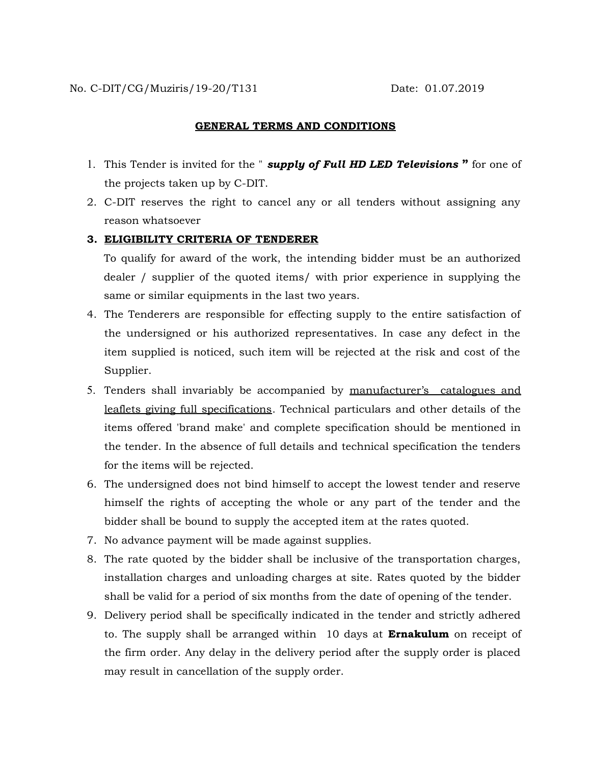#### **GENERAL TERMS AND CONDITIONS**

- 1. This Tender is invited for the " *supply of Full HD LED Televisions* **"** for one of the projects taken up by C-DIT.
- 2. C-DIT reserves the right to cancel any or all tenders without assigning any reason whatsoever

### **3. ELIGIBILITY CRITERIA OF TENDERER**

To qualify for award of the work, the intending bidder must be an authorized dealer / supplier of the quoted items/ with prior experience in supplying the same or similar equipments in the last two years.

- 4. The Tenderers are responsible for effecting supply to the entire satisfaction of the undersigned or his authorized representatives. In case any defect in the item supplied is noticed, such item will be rejected at the risk and cost of the Supplier.
- 5. Tenders shall invariably be accompanied by manufacturer's catalogues and leaflets giving full specifications. Technical particulars and other details of the items offered 'brand make' and complete specification should be mentioned in the tender. In the absence of full details and technical specification the tenders for the items will be rejected.
- 6. The undersigned does not bind himself to accept the lowest tender and reserve himself the rights of accepting the whole or any part of the tender and the bidder shall be bound to supply the accepted item at the rates quoted.
- 7. No advance payment will be made against supplies.
- 8. The rate quoted by the bidder shall be inclusive of the transportation charges, installation charges and unloading charges at site. Rates quoted by the bidder shall be valid for a period of six months from the date of opening of the tender.
- 9. Delivery period shall be specifically indicated in the tender and strictly adhered to. The supply shall be arranged within 10 days at **Ernakulum** on receipt of the firm order. Any delay in the delivery period after the supply order is placed may result in cancellation of the supply order.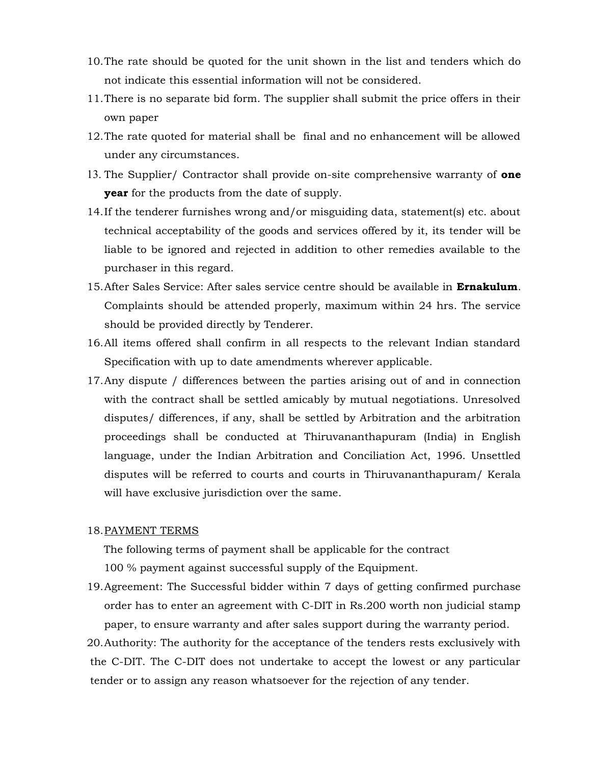- 10.The rate should be quoted for the unit shown in the list and tenders which do not indicate this essential information will not be considered.
- 11.There is no separate bid form. The supplier shall submit the price offers in their own paper
- 12.The rate quoted for material shall be final and no enhancement will be allowed under any circumstances.
- 13. The Supplier/ Contractor shall provide on-site comprehensive warranty of **one year** for the products from the date of supply.
- 14.If the tenderer furnishes wrong and/or misguiding data, statement(s) etc. about technical acceptability of the goods and services offered by it, its tender will be liable to be ignored and rejected in addition to other remedies available to the purchaser in this regard.
- 15.After Sales Service: After sales service centre should be available in **Ernakulum**. Complaints should be attended properly, maximum within 24 hrs. The service should be provided directly by Tenderer.
- 16.All items offered shall confirm in all respects to the relevant Indian standard Specification with up to date amendments wherever applicable.
- 17.Any dispute / differences between the parties arising out of and in connection with the contract shall be settled amicably by mutual negotiations. Unresolved disputes/ differences, if any, shall be settled by Arbitration and the arbitration proceedings shall be conducted at Thiruvananthapuram (India) in English language, under the Indian Arbitration and Conciliation Act, 1996. Unsettled disputes will be referred to courts and courts in Thiruvananthapuram/ Kerala will have exclusive jurisdiction over the same.

#### 18.PAYMENT TERMS

The following terms of payment shall be applicable for the contract

100 % payment against successful supply of the Equipment.

19.Agreement: The Successful bidder within 7 days of getting confirmed purchase order has to enter an agreement with C-DIT in Rs.200 worth non judicial stamp paper, to ensure warranty and after sales support during the warranty period.

20.Authority: The authority for the acceptance of the tenders rests exclusively with the C-DIT. The C-DIT does not undertake to accept the lowest or any particular tender or to assign any reason whatsoever for the rejection of any tender.